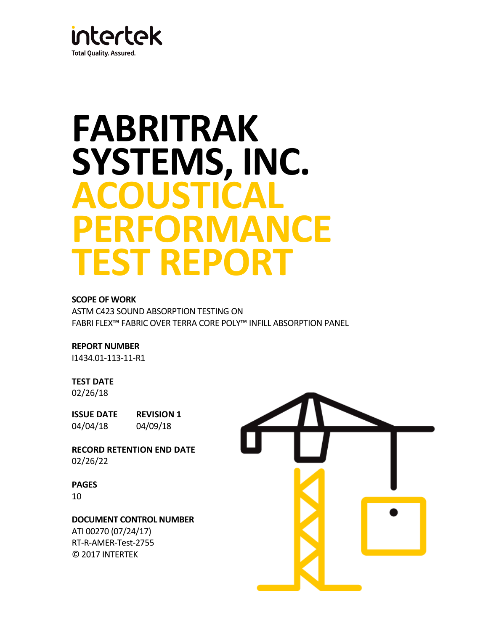

# **FABRITRAK SYSTEMS, INC. ACOUSTICAL PERFORMANCE TEST REPORT**

# **SCOPE OF WORK**

ASTM C423 SOUND ABSORPTION TESTING ON FABRI FLEX™ FABRIC OVER TERRA CORE POLY™ INFILL ABSORPTION PANEL

# **REPORT NUMBER**

I1434.01-113-11-R1

#### **TEST DATE**

02/26/18

**ISSUE DATE REVISION 1** 04/04/18 04/09/18

**RECORD RETENTION END DATE** 02/26/22

#### **PAGES**

10

#### **DOCUMENT CONTROL NUMBER**

ATI 00270 (07/24/17) RT-R-AMER-Test-2755 © 2017 INTERTEK

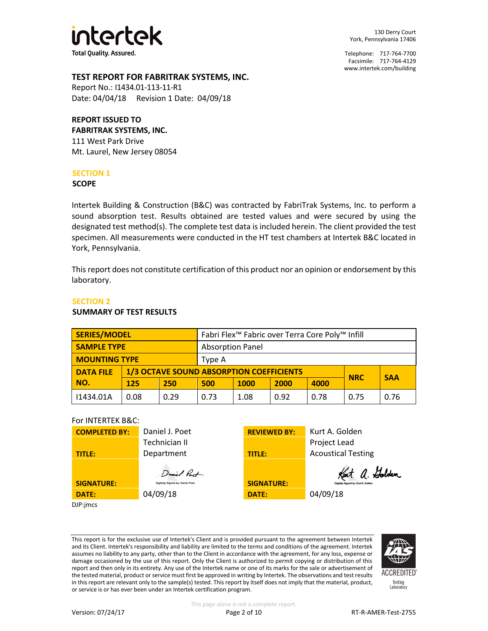

130 Derry Court York, Pennsylvania 17406

Telephone: 717-764-7700 Facsimile: 717-764-4129 [www.intertek.com/building](http://www.intertek.com/building)

# **TEST REPORT FOR FABRITRAK SYSTEMS, INC.**

Report No.: I1434.01-113-11-R1 Date: 04/04/18 Revision 1 Date: 04/09/18

# **REPORT ISSUED TO**

**FABRITRAK SYSTEMS, INC.** 111 West Park Drive Mt. Laurel, New Jersey 08054

#### **SECTION 1**

#### **SCOPE**

Intertek Building & Construction (B&C) was contracted by FabriTrak Systems, Inc. to perform a sound absorption test. Results obtained are tested values and were secured by using the designated test method(s). The complete test data is included herein. The client provided the test specimen. All measurements were conducted in the HT test chambers at Intertek B&C located in York, Pennsylvania.

This report does not constitute certification of this product nor an opinion or endorsement by this laboratory.

# **SECTION 2**

#### **SUMMARY OF TEST RESULTS**

| <b>SERIES/MODEL</b>  |      |      | Fabri Flex <sup>™</sup> Fabric over Terra Core Poly™ Infill                 |      |      |      |      |      |
|----------------------|------|------|-----------------------------------------------------------------------------|------|------|------|------|------|
| <b>SAMPLE TYPE</b>   |      |      | <b>Absorption Panel</b>                                                     |      |      |      |      |      |
| <b>MOUNTING TYPE</b> |      |      | Type A                                                                      |      |      |      |      |      |
| <b>DATA FILE</b>     |      |      | <b>1/3 OCTAVE SOUND ABSORPTION COEFFICIENTS</b><br><b>SAA</b><br><b>NRC</b> |      |      |      |      |      |
| NO.                  | 125  | 250  | 500                                                                         | 1000 | 2000 | 4000 |      |      |
| 11434.01A            | 0.08 | 0.29 | 0.73                                                                        | 1.08 | 0.92 | 0.78 | 0.75 | 0.76 |

#### For INTERTEK B&C:

| <b>COMPLETED BY:</b> | Daniel J. Poet                               | <b>REVIEWED BY:</b> | Kurt A. Golden                                  |
|----------------------|----------------------------------------------|---------------------|-------------------------------------------------|
|                      | Technician II                                |                     | Project Lead                                    |
| TITLE:               | Department                                   | TITLE:              | <b>Acoustical Testing</b>                       |
|                      | Daniel Pact                                  |                     | Kent a. Golden                                  |
|                      |                                              |                     |                                                 |
| <b>SIGNATURE:</b>    | Digitally Signed by: Daniel Poet<br>04/09/18 | <b>SIGNATURE:</b>   | Digitally Signed by: Kurt A. Golden<br>04/09/18 |

DJP:jmcs

This report is for the exclusive use of Intertek's Client and is provided pursuant to the agreement between Intertek and its Client. Intertek's responsibility and liability are limited to the terms and conditions of the agreement. Intertek assumes no liability to any party, other than to the Client in accordance with the agreement, for any loss, expense or damage occasioned by the use of this report. Only the Client is authorized to permit copying or distribution of this report and then only in its entirety. Any use of the Intertek name or one of its marks for the sale or advertisement of the tested material, product or service must first be approved in writing by Intertek. The observations and test results in this report are relevant only to the sample(s) tested. This report by itself does not imply that the material, product, or service is or has ever been under an Intertek certification program.



**ACCREDITED** Testing<br>Laboratory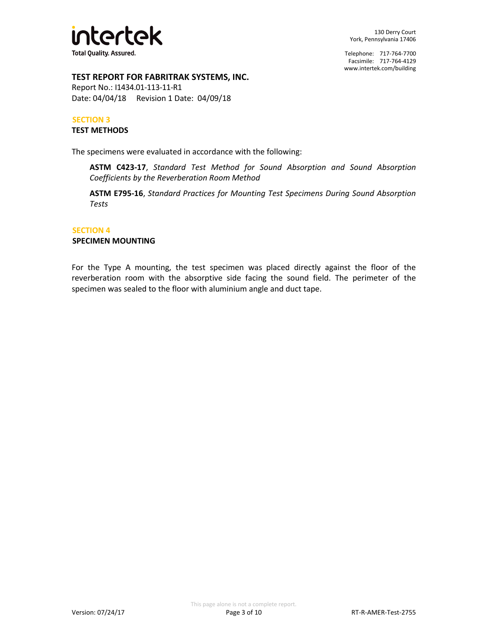

# **TEST REPORT FOR FABRITRAK SYSTEMS, INC.**

Report No.: I1434.01-113-11-R1 Date: 04/04/18 Revision 1 Date: 04/09/18

#### **SECTION 3**

#### **TEST METHODS**

The specimens were evaluated in accordance with the following:

**ASTM C423-17**, *Standard Test Method for Sound Absorption and Sound Absorption Coefficients by the Reverberation Room Method*

**ASTM E795-16**, *Standard Practices for Mounting Test Specimens During Sound Absorption Tests*

#### **SECTION 4**

#### **SPECIMEN MOUNTING**

For the Type A mounting, the test specimen was placed directly against the floor of the reverberation room with the absorptive side facing the sound field. The perimeter of the specimen was sealed to the floor with aluminium angle and duct tape.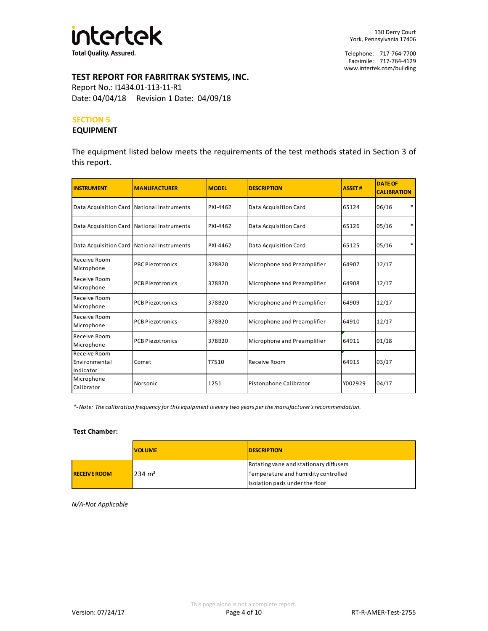

# **TEST REPORT FOR FABRITRAK SYSTEMS, INC.**

Report No.: I1434.01-113-11-R1 Date: 04/04/18 Revision 1 Date: 04/09/18

#### **SECTION 5**

#### **EQUIPMENT**

The equipment listed below meets the requirements of the test methods stated in Section 3 of this report.

| <b>INSTRUMENT</b>                            | <b>MANUFACTURER</b>     | <b>MODEL</b> | <b>DESCRIPTION</b>          | <b>ASSET#</b> | <b>DATE OF</b><br><b>CALIBRATION</b> |
|----------------------------------------------|-------------------------|--------------|-----------------------------|---------------|--------------------------------------|
| Data Acquisition Card National Instruments   |                         | PXI-4462     | Data Acquisition Card       | 65124         | $\ast$<br>06/16                      |
| Data Acquisition Card National Instruments   |                         | PXI-4462     | Data Acquisition Card       | 65126         | *<br>05/16                           |
| Data Acquisition Card   National Instruments |                         | PXI-4462     | Data Acquisition Card       | 65125         | $\ast$<br>05/16                      |
| Receive Room<br>Microphone                   | <b>PBC Piezotronics</b> | 378B20       | Microphone and Preamplifier | 64907         | 12/17                                |
| Receive Room<br>Microphone                   | <b>PCB Piezotronics</b> | 378B20       | Microphone and Preamplifier | 64908         | 12/17                                |
| Receive Room<br>Microphone                   | <b>PCB Piezotronics</b> | 378B20       | Microphone and Preamplifier | 64909         | 12/17                                |
| Receive Room<br>Microphone                   | <b>PCB Piezotronics</b> | 378B20       | Microphone and Preamplifier | 64910         | 12/17                                |
| Receive Room<br>Microphone                   | <b>PCB Piezotronics</b> | 378B20       | Microphone and Preamplifier | 64911         | 01/18                                |
| Receive Room<br>Environmental<br>Indicator   | Comet                   | T7510        | Receive Room                | 64915         | 03/17                                |
| Microphone<br>Calibrator                     | Norsonic                | 1251         | Pistonphone Calibrator      | Y002929       | 04/17                                |

*\*- Note: The calibration frequency for this equipment is every two years per the manufacturer's recommendation.*

#### **Test Chamber:**

|                     | <b>VOLUME</b>     | <b>IDESCRIPTION</b>                    |
|---------------------|-------------------|----------------------------------------|
|                     |                   | Rotating vane and stationary diffusers |
| <b>RECEIVE ROOM</b> | $234 \text{ m}^3$ | Temperature and humidity controlled    |
|                     |                   | Isolation pads under the floor         |

*N/A-Not Applicable*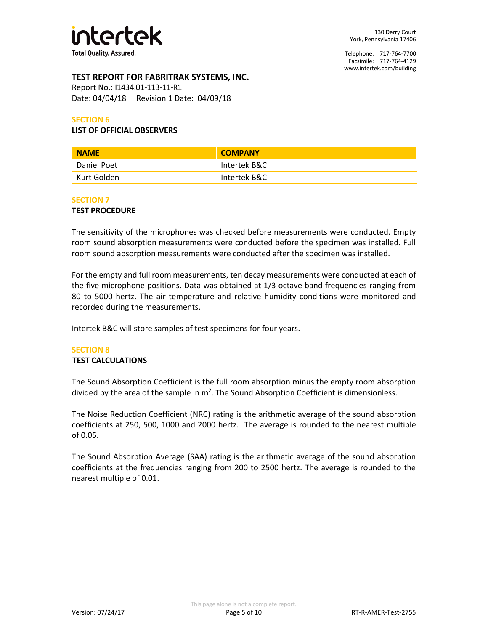

# **TEST REPORT FOR FABRITRAK SYSTEMS, INC.**

Report No.: I1434.01-113-11-R1 Date: 04/04/18 Revision 1 Date: 04/09/18

#### **SECTION 6**

#### **LIST OF OFFICIAL OBSERVERS**

| <b>NAME</b> | <b>COMPANY</b> |
|-------------|----------------|
| Daniel Poet | Intertek B&C   |
| Kurt Golden | Intertek B&C   |

#### **SECTION 7**

#### **TEST PROCEDURE**

The sensitivity of the microphones was checked before measurements were conducted. Empty room sound absorption measurements were conducted before the specimen was installed. Full room sound absorption measurements were conducted after the specimen was installed.

For the empty and full room measurements, ten decay measurements were conducted at each of the five microphone positions. Data was obtained at 1/3 octave band frequencies ranging from 80 to 5000 hertz. The air temperature and relative humidity conditions were monitored and recorded during the measurements.

Intertek B&C will store samples of test specimens for four years.

# **SECTION 8**

# **TEST CALCULATIONS**

The Sound Absorption Coefficient is the full room absorption minus the empty room absorption divided by the area of the sample in  $m^2$ . The Sound Absorption Coefficient is dimensionless.

The Noise Reduction Coefficient (NRC) rating is the arithmetic average of the sound absorption coefficients at 250, 500, 1000 and 2000 hertz. The average is rounded to the nearest multiple of 0.05.

The Sound Absorption Average (SAA) rating is the arithmetic average of the sound absorption coefficients at the frequencies ranging from 200 to 2500 hertz. The average is rounded to the nearest multiple of 0.01.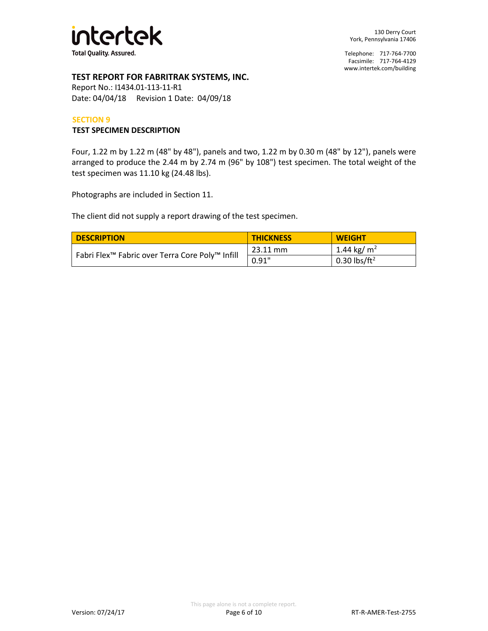

# **TEST REPORT FOR FABRITRAK SYSTEMS, INC.**

Report No.: I1434.01-113-11-R1 Date: 04/04/18 Revision 1 Date: 04/09/18

#### **SECTION 9**

#### **TEST SPECIMEN DESCRIPTION**

Four, 1.22 m by 1.22 m (48" by 48"), panels and two, 1.22 m by 0.30 m (48" by 12"), panels were arranged to produce the 2.44 m by 2.74 m (96" by 108") test specimen. The total weight of the test specimen was 11.10 kg (24.48 lbs).

Photographs are included in Section 11.

The client did not supply a report drawing of the test specimen.

| <b>DESCRIPTION</b>                                          | <b>THICKNESS</b> | <b>WEIGHT</b>            |
|-------------------------------------------------------------|------------------|--------------------------|
|                                                             | 23.11 mm         | 1.44 kg/ m <sup>2</sup>  |
| Fabri Flex <sup>™</sup> Fabric over Terra Core Poly™ Infill | 0.91"            | 0.30 lbs/ft <sup>2</sup> |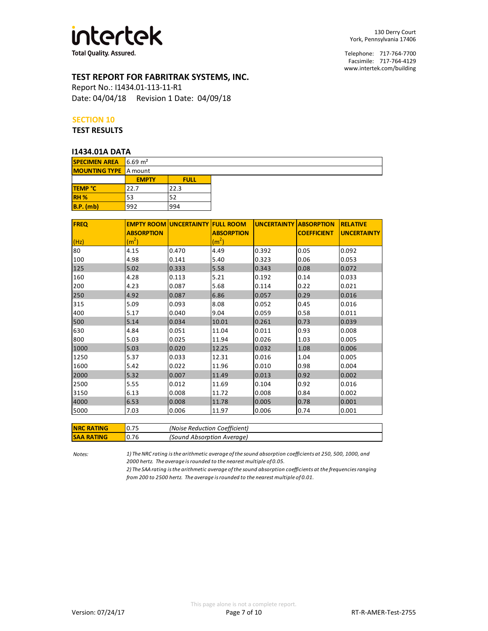

**Total Quality. Assured.** 

# **TEST REPORT FOR FABRITRAK SYSTEMS, INC.**

Report No.: I1434.01-113-11-R1 Date: 04/04/18 Revision 1 Date: 04/09/18

#### **SECTION 10**

#### **TEST RESULTS**

#### **I1434.01A DATA**

| .                            |             |
|------------------------------|-------------|
| $16.69 \text{ m}^2$          |             |
| <b>MOUNTING TYPE</b> A mount |             |
| <b>EMPTY</b>                 | <b>FULL</b> |
| 22.7                         | 22.3        |
| 53                           | 52          |
| 992                          | 994         |
|                              |             |

| <b>FREQ</b> | <b>EMPTY ROOM UNCERTAINTY</b> |       | <b>FULL ROOM</b>  | <b>UNCERTAINTY ABSORPTION</b> |                    | <b>RELATIVE</b>    |
|-------------|-------------------------------|-------|-------------------|-------------------------------|--------------------|--------------------|
|             | <b>ABSORPTION</b>             |       | <b>ABSORPTION</b> |                               | <b>COEFFICIENT</b> | <b>UNCERTAINTY</b> |
| (Hz)        | (m <sup>2</sup> )             |       | (m <sup>2</sup> ) |                               |                    |                    |
| 80          | 4.15                          | 0.470 | 4.49              | 0.392                         | 0.05               | 0.092              |
| 100         | 4.98                          | 0.141 | 5.40              | 0.323                         | 0.06               | 0.053              |
| 125         | 5.02                          | 0.333 | 5.58              | 0.343                         | 0.08               | 0.072              |
| 160         | 4.28                          | 0.113 | 5.21              | 0.192                         | 0.14               | 0.033              |
| 200         | 4.23                          | 0.087 | 5.68              | 0.114                         | 0.22               | 0.021              |
| 250         | 4.92                          | 0.087 | 6.86              | 0.057                         | 0.29               | 0.016              |
| 315         | 5.09                          | 0.093 | 8.08              | 0.052                         | 0.45               | 0.016              |
| 400         | 5.17                          | 0.040 | 9.04              | 0.059                         | 0.58               | 0.011              |
| 500         | 5.14                          | 0.034 | 10.01             | 0.261                         | 0.73               | 0.039              |
| 630         | 4.84                          | 0.051 | 11.04             | 0.011                         | 0.93               | 0.008              |
| 800         | 5.03                          | 0.025 | 11.94             | 0.026                         | 1.03               | 0.005              |
| 1000        | 5.03                          | 0.020 | 12.25             | 0.032                         | 1.08               | 0.006              |
| 1250        | 5.37                          | 0.033 | 12.31             | 0.016                         | 1.04               | 0.005              |
| 1600        | 5.42                          | 0.022 | 11.96             | 0.010                         | 0.98               | 0.004              |
| 2000        | 5.32                          | 0.007 | 11.49             | 0.013                         | 0.92               | 0.002              |
| 2500        | 5.55                          | 0.012 | 11.69             | 0.104                         | 0.92               | 0.016              |
| 3150        | 6.13                          | 0.008 | 11.72             | 0.008                         | 0.84               | 0.002              |
| 4000        | 6.53                          | 0.008 | 11.78             | 0.005                         | 0.78               | 0.001              |
| 5000        | 7.03                          | 0.006 | 11.97             | 0.006                         | 0.74               | 0.001              |
|             |                               |       |                   |                               |                    |                    |

| <b>NRC RATING</b> |       | (Noise Reduction Coefficient) |
|-------------------|-------|-------------------------------|
| <b>SAA RATING</b> | 10.76 | (Sound Absorption Average)    |

*Notes:*

*1) The NRC rating is the arithmetic average of the sound absorption coefficients at 250, 500, 1000, and 2000 hertz. The average is rounded to the nearest multiple of 0.05.*

*2) The SAA rating is the arithmetic average of the sound absorption coefficients at the frequencies ranging from 200 to 2500 hertz. The average is rounded to the nearest multiple of 0.01.*

Telephone: 717-764-7700 Facsimile: 717-764-4129 [www.intertek.com/building](http://www.intertek.com/building)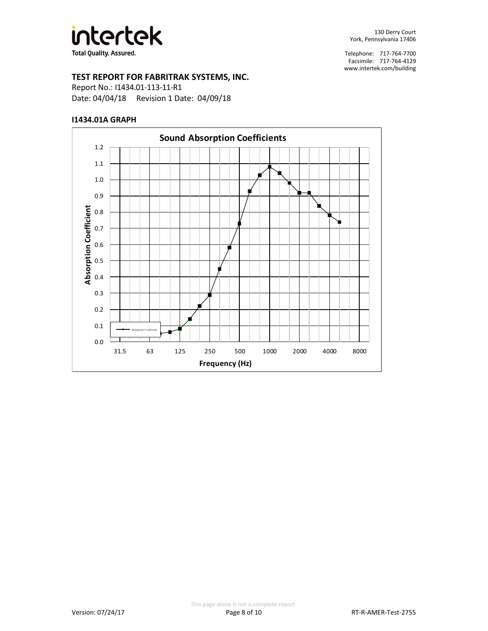

# **TEST REPORT FOR FABRITRAK SYSTEMS, INC.**

Report No.: I1434.01-113-11-R1 Date: 04/04/18 Revision 1 Date: 04/09/18

#### **I1434.01A GRAPH**

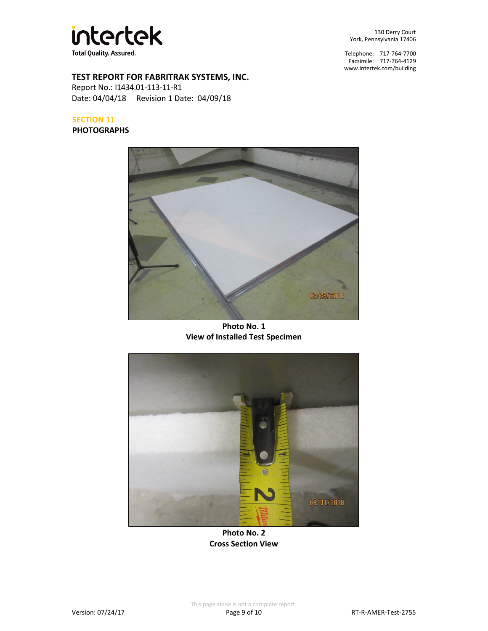

130 Derry Court York, Pennsylvania 17406

Telephone: 717-764-7700 Facsimile: 717-764-4129 [www.intertek.com/building](http://www.intertek.com/building)

# **TEST REPORT FOR FABRITRAK SYSTEMS, INC.**

Report No.: I1434.01-113-11-R1 Date: 04/04/18 Revision 1 Date: 04/09/18

#### **SECTION 11**

#### **PHOTOGRAPHS**



**Photo No. 1 View of Installed Test Specimen**



**Photo No. 2 Cross Section View**